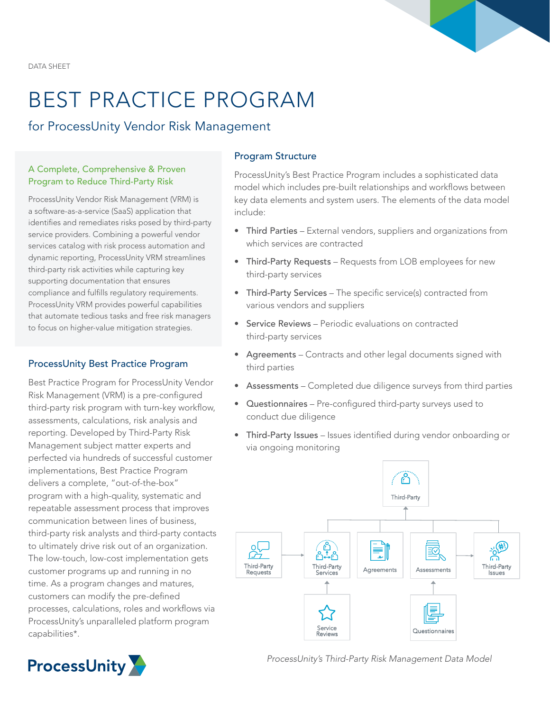DATA SHEET

# BEST PRACTICE PROGRAM

for ProcessUnity Vendor Risk Management

## A Complete, Comprehensive & Proven Program to Reduce Third-Party Risk

ProcessUnity Vendor Risk Management (VRM) is a software-as-a-service (SaaS) application that identifies and remediates risks posed by third-party service providers. Combining a powerful vendor services catalog with risk process automation and dynamic reporting, ProcessUnity VRM streamlines third-party risk activities while capturing key supporting documentation that ensures compliance and fulfills regulatory requirements. ProcessUnity VRM provides powerful capabilities that automate tedious tasks and free risk managers to focus on higher-value mitigation strategies.

# ProcessUnity Best Practice Program

Best Practice Program for ProcessUnity Vendor Risk Management (VRM) is a pre-configured third-party risk program with turn-key workflow, assessments, calculations, risk analysis and reporting. Developed by Third-Party Risk Management subject matter experts and perfected via hundreds of successful customer implementations, Best Practice Program delivers a complete, "out-of-the-box" program with a high-quality, systematic and repeatable assessment process that improves communication between lines of business, third-party risk analysts and third-party contacts to ultimately drive risk out of an organization. The low-touch, low-cost implementation gets customer programs up and running in no time. As a program changes and matures, customers can modify the pre-defined processes, calculations, roles and workflows via ProcessUnity's unparalleled platform program capabilities\*.

# Program Structure

ProcessUnity's Best Practice Program includes a sophisticated data model which includes pre-built relationships and workflows between key data elements and system users. The elements of the data model include:

- Third Parties External vendors, suppliers and organizations from which services are contracted
- Third-Party Requests Requests from LOB employees for new third-party services
- Third-Party Services The specific service(s) contracted from various vendors and suppliers
- Service Reviews Periodic evaluations on contracted third-party services
- Agreements Contracts and other legal documents signed with third parties
- Assessments Completed due diligence surveys from third parties
- Questionnaires Pre-configured third-party surveys used to conduct due diligence
- Third-Party Issues Issues identified during vendor onboarding or via ongoing monitoring





*ProcessUnity's Third-Party Risk Management Data Model*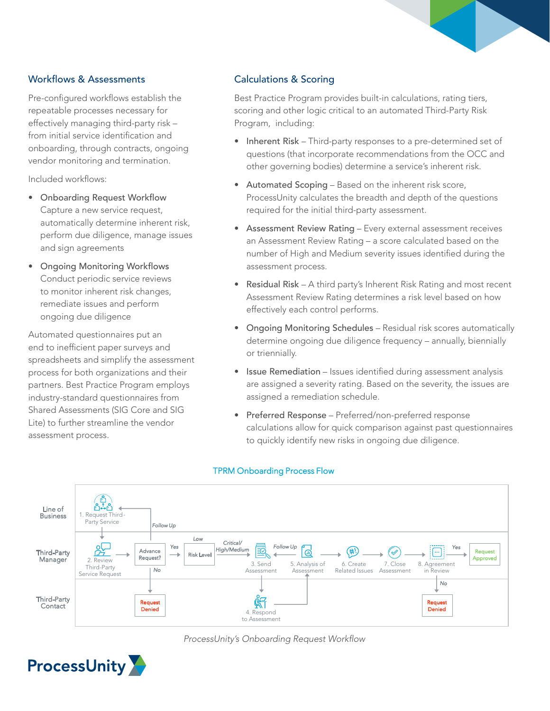# Workflows & Assessments

Pre-configured workflows establish the repeatable processes necessary for effectively managing third-party risk – from initial service identification and onboarding, through contracts, ongoing vendor monitoring and termination.

Included workflows:

- Onboarding Request Workflow Capture a new service request, automatically determine inherent risk, perform due diligence, manage issues and sign agreements
- Ongoing Monitoring Workflows Conduct periodic service reviews to monitor inherent risk changes, remediate issues and perform ongoing due diligence

Automated questionnaires put an end to inefficient paper surveys and spreadsheets and simplify the assessment process for both organizations and their partners. Best Practice Program employs industry-standard questionnaires from Shared Assessments (SIG Core and SIG Lite) to further streamline the vendor assessment process.

# Calculations & Scoring

Best Practice Program provides built-in calculations, rating tiers, scoring and other logic critical to an automated Third-Party Risk Program, including:

- Inherent Risk Third-party responses to a pre-determined set of questions (that incorporate recommendations from the OCC and other governing bodies) determine a service's inherent risk.
- Automated Scoping Based on the inherent risk score, ProcessUnity calculates the breadth and depth of the questions required for the initial third-party assessment.
- Assessment Review Rating Every external assessment receives an Assessment Review Rating – a score calculated based on the number of High and Medium severity issues identified during the assessment process.
- Residual Risk A third party's Inherent Risk Rating and most recent Assessment Review Rating determines a risk level based on how effectively each control performs.
- Ongoing Monitoring Schedules Residual risk scores automatically determine ongoing due diligence frequency – annually, biennially or triennially.
- Issue Remediation Issues identified during assessment analysis are assigned a severity rating. Based on the severity, the issues are assigned a remediation schedule.
- Preferred Response Preferred/non-preferred response calculations allow for quick comparison against past questionnaires to quickly identify new risks in ongoing due diligence.



#### TPRM Onboarding Process Flow